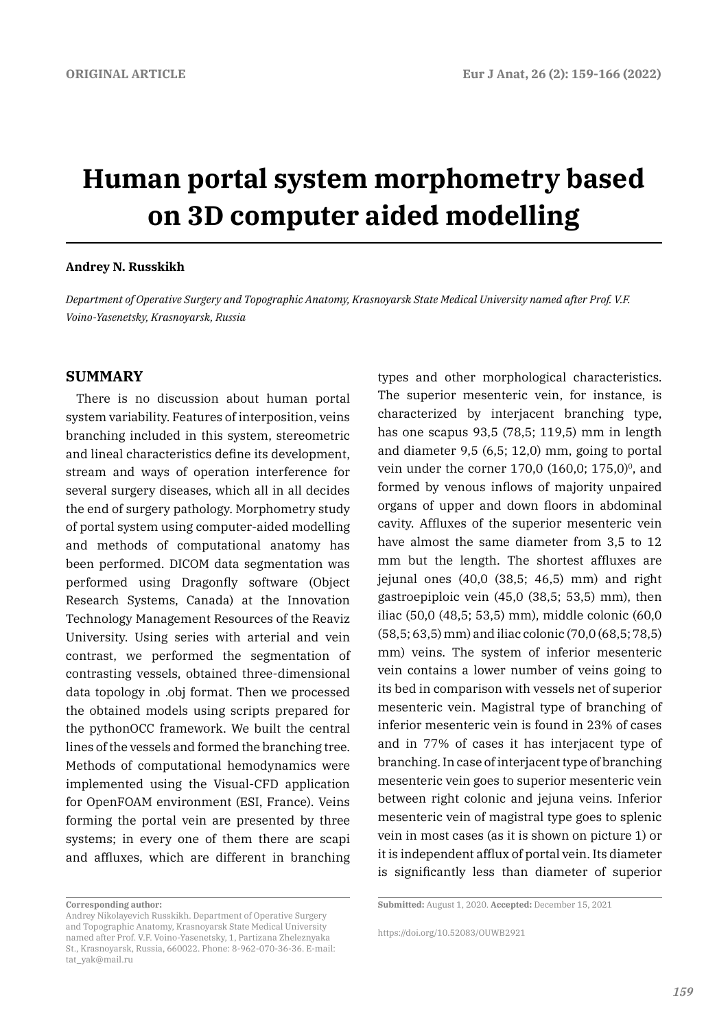# **Human portal system morphometry based on 3D computer aided modelling**

#### **Andrey N. Russkikh**

*Department of Operative Surgery and Topographic Anatomy, Krasnoyarsk State Medical University named after Prof. V.F. Voino-Yasenetsky, Krasnoyarsk, Russia*

#### **SUMMARY**

There is no discussion about human portal system variability. Features of interposition, veins branching included in this system, stereometric and lineal characteristics define its development, stream and ways of operation interference for several surgery diseases, which all in all decides the end of surgery pathology. Morphometry study of portal system using computer-aided modelling and methods of computational anatomy has been performed. DICOM data segmentation was performed using Dragonfly software (Object Research Systems, Canada) at the Innovation Technology Management Resources of the Reaviz University. Using series with arterial and vein contrast, we performed the segmentation of contrasting vessels, obtained three-dimensional data topology in .obj format. Then we processed the obtained models using scripts prepared for the pythonOCC framework. We built the central lines of the vessels and formed the branching tree. Methods of computational hemodynamics were implemented using the Visual-CFD application for OpenFOAM environment (ESI, France). Veins forming the portal vein are presented by three systems; in every one of them there are scapi and affluxes, which are different in branching

types and other morphological characteristics. The superior mesenteric vein, for instance, is characterized by interjacent branching type, has one scapus 93,5 (78,5; 119,5) mm in length and diameter 9,5 (6,5; 12,0) mm, going to portal vein under the corner 170,0  $(160,0; 175,0)^0$ , and formed by venous inflows of majority unpaired organs of upper and down floors in abdominal cavity. Affluxes of the superior mesenteric vein have almost the same diameter from 3,5 to 12 mm but the length. The shortest affluxes are jejunal ones (40,0 (38,5; 46,5) mm) and right gastroepiploic vein (45,0 (38,5; 53,5) mm), then iliac (50,0 (48,5; 53,5) mm), middle colonic (60,0 (58,5; 63,5) mm) and iliac colonic (70,0 (68,5; 78,5) mm) veins. The system of inferior mesenteric vein contains a lower number of veins going to its bed in comparison with vessels net of superior mesenteric vein. Magistral type of branching of inferior mesenteric vein is found in 23% of cases and in 77% of cases it has interjacent type of branching. In case of interjacent type of branching mesenteric vein goes to superior mesenteric vein between right colonic and jejuna veins. Inferior mesenteric vein of magistral type goes to splenic vein in most cases (as it is shown on picture 1) or it is independent afflux of portal vein. Its diameter is significantly less than diameter of superior

**Corresponding author:** 

Andrey Nikolayevich Russkikh. Department of Operative Surgery and Topographic Anatomy, Krasnoyarsk State Medical University named after Prof. V.F. Voino-Yasenetsky, 1, Partizana Zheleznyaka St., Krasnoyarsk, Russia, 660022. Phone: 8-962-070-36-36. E-mail: tat\_yak@mail.ru

**Submitted:** August 1, 2020. **Accepted:** December 15, 2021

https://doi.org/10.52083/OUWB2921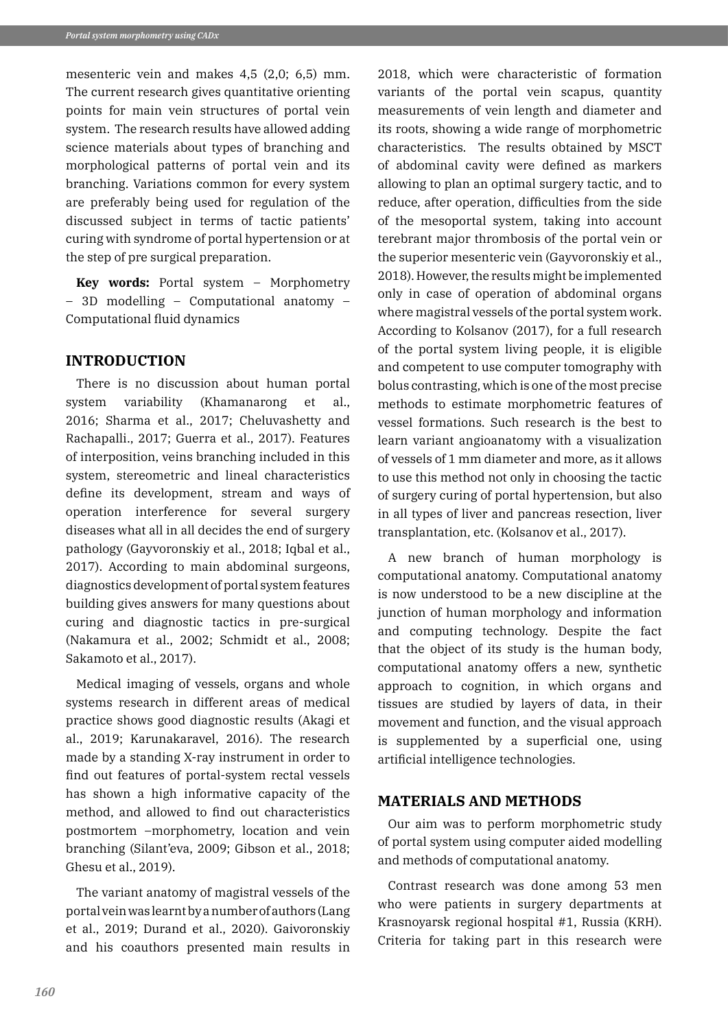mesenteric vein and makes 4,5 (2,0; 6,5) mm. The current research gives quantitative orienting points for main vein structures of portal vein system. The research results have allowed adding science materials about types of branching and morphological patterns of portal vein and its branching. Variations common for every system are preferably being used for regulation of the discussed subject in terms of tactic patients' curing with syndrome of portal hypertension or at the step of pre surgical preparation.

**Key words:** Portal system – Morphometry – 3D modelling – Computational anatomy – Computational fluid dynamics

## **INTRODUCTION**

There is no discussion about human portal system variability (Khamanarong et al., 2016; Sharma et al., 2017; Cheluvashetty and Rachapalli., 2017; Guerra et al., 2017). Features of interposition, veins branching included in this system, stereometric and lineal characteristics define its development, stream and ways of operation interference for several surgery diseases what all in all decides the end of surgery pathology (Gayvoronskiy et al., 2018; Iqbal et al., 2017). According to main abdominal surgeons, diagnostics development of portal system features building gives answers for many questions about curing and diagnostic tactics in pre-surgical (Nakamura et al., 2002; Schmidt et al., 2008; Sakamoto et al., 2017).

Medical imaging of vessels, organs and whole systems research in different areas of medical practice shows good diagnostic results (Akagi et al., 2019; Karunakaravel, 2016). The research made by a standing X-ray instrument in order to find out features of portal-system rectal vessels has shown a high informative capacity of the method, and allowed to find out characteristics postmortem –morphometry, location and vein branching (Silant'eva, 2009; Gibson et al., 2018; Ghesu et al., 2019).

The variant anatomy of magistral vessels of the portal vein was learnt by a number of authors (Lang et al., 2019; Durand et al., 2020). Gaivoronskiy and his coauthors presented main results in

2018, which were characteristic of formation variants of the portal vein scapus, quantity measurements of vein length and diameter and its roots, showing a wide range of morphometric characteristics. The results obtained by MSCT of abdominal cavity were defined as markers allowing to plan an optimal surgery tactic, and to reduce, after operation, difficulties from the side of the mesoportal system, taking into account terebrant major thrombosis of the portal vein or the superior mesenteric vein (Gayvoronskiy et al., 2018). However, the results might be implemented only in case of operation of abdominal organs where magistral vessels of the portal system work. According to Kolsanov (2017), for a full research of the portal system living people, it is eligible and competent to use computer tomography with bolus contrasting, which is one of the most precise methods to estimate morphometric features of vessel formations. Such research is the best to learn variant angioanatomy with a visualization of vessels of 1 mm diameter and more, as it allows to use this method not only in choosing the tactic of surgery curing of portal hypertension, but also in all types of liver and pancreas resection, liver transplantation, etc. (Kolsanov et al., 2017).

A new branch of human morphology is computational anatomy. Computational anatomy is now understood to be a new discipline at the junction of human morphology and information and computing technology. Despite the fact that the object of its study is the human body, computational anatomy offers a new, synthetic approach to cognition, in which organs and tissues are studied by layers of data, in their movement and function, and the visual approach is supplemented by a superficial one, using artificial intelligence technologies.

## **MATERIALS AND METHODS**

Our aim was to perform morphometric study of portal system using computer aided modelling and methods of computational anatomy.

Contrast research was done among 53 men who were patients in surgery departments at Krasnoyarsk regional hospital #1, Russia (KRH). Criteria for taking part in this research were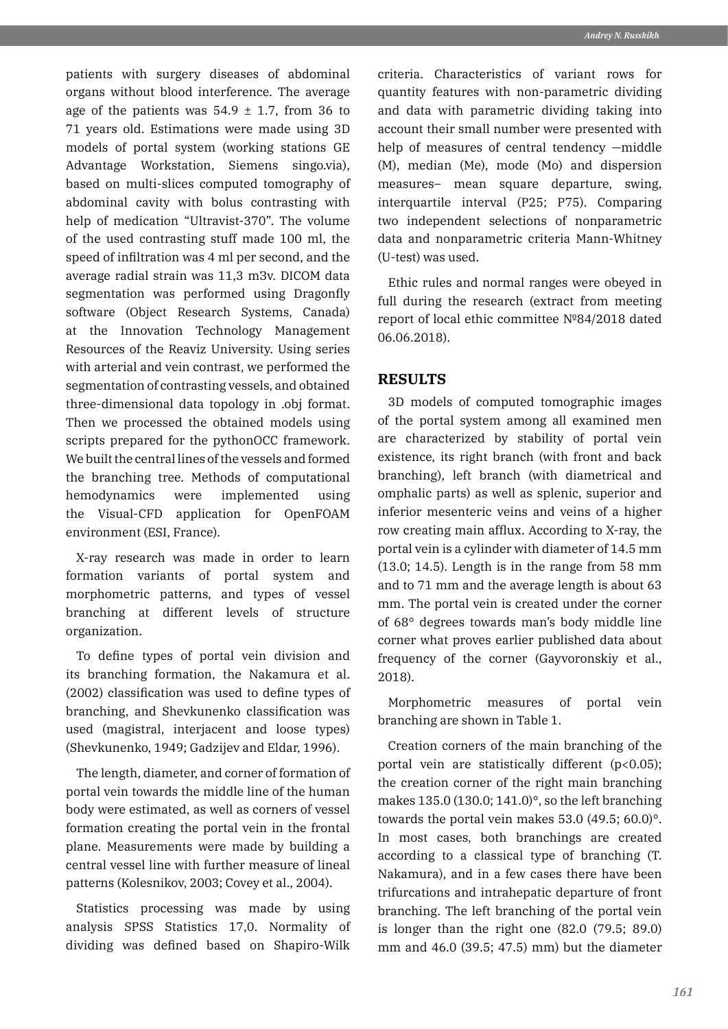patients with surgery diseases of abdominal organs without blood interference. The average age of the patients was  $54.9 \pm 1.7$ , from 36 to 71 years old. Estimations were made using 3D models of portal system (working stations GE Advantage Workstation, Siemens singo.via), based on multi-slices computed tomography of abdominal cavity with bolus contrasting with help of medication "Ultravist-370". The volume of the used contrasting stuff made 100 ml, the speed of infiltration was 4 ml per second, and the average radial strain was 11,3 mЗv. DICOM data segmentation was performed using Dragonfly software (Object Research Systems, Canada) at the Innovation Technology Management Resources of the Reaviz University. Using series with arterial and vein contrast, we performed the segmentation of contrasting vessels, and obtained three-dimensional data topology in .obj format. Then we processed the obtained models using scripts prepared for the pythonOCC framework. We built the central lines of the vessels and formed the branching tree. Methods of computational hemodynamics were implemented using the Visual-CFD application for OpenFOAM environment (ESI, France).

X-ray research was made in order to learn formation variants of portal system and morphometric patterns, and types of vessel branching at different levels of structure organization.

To define types of portal vein division and its branching formation, the Nakamura et al. (2002) classification was used to define types of branching, and Shevkunenko classification was used (magistral, interjacent and loose types) (Shevkunenko, 1949; Gadzijev and Eldar, 1996).

The length, diameter, and corner of formation of portal vein towards the middle line of the human body were estimated, as well as corners of vessel formation creating the portal vein in the frontal plane. Measurements were made by building a central vessel line with further measure of lineal patterns (Kolesnikov, 2003; Covey et al., 2004).

Statistics processing was made by using analysis SPSS Statistics 17,0. Normality of dividing was defined based on Shapiro-Wilk criteria. Characteristics of variant rows for quantity features with non-parametric dividing and data with parametric dividing taking into account their small number were presented with help of measures of central tendency -middle (M), median (Me), mode (Mo) and dispersion measures– mean square departure, swing, interquartile interval (P25; P75). Comparing two independent selections of nonparametric data and nonparametric criteria Mann-Whitney (U-test) was used.

Ethic rules and normal ranges were obeyed in full during the research (extract from meeting report of local ethic committee №84/2018 dated 06.06.2018).

## **RESULTS**

3D models of computed tomographic images of the portal system among all examined men are characterized by stability of portal vein existence, its right branch (with front and back branching), left branch (with diametrical and omphalic parts) as well as splenic, superior and inferior mesenteric veins and veins of a higher row creating main afflux. According to X-ray, the portal vein is a cylinder with diameter of 14.5 mm (13.0; 14.5). Length is in the range from 58 mm and to 71 mm and the average length is about 63 mm. The portal vein is created under the corner of 68° degrees towards man's body middle line corner what proves earlier published data about frequency of the corner (Gayvoronskiy et al., 2018).

Morphometric measures of portal vein branching are shown in Table 1.

Creation corners of the main branching of the portal vein are statistically different (p<0.05); the creation corner of the right main branching makes 135.0 (130.0; 141.0)°, so the left branching towards the portal vein makes 53.0 (49.5; 60.0)°. In most cases, both branchings are created according to a classical type of branching (T. Nakamura), and in a few cases there have been trifurcations and intrahepatic departure of front branching. The left branching of the portal vein is longer than the right one (82.0 (79.5; 89.0) mm and 46.0 (39.5; 47.5) mm) but the diameter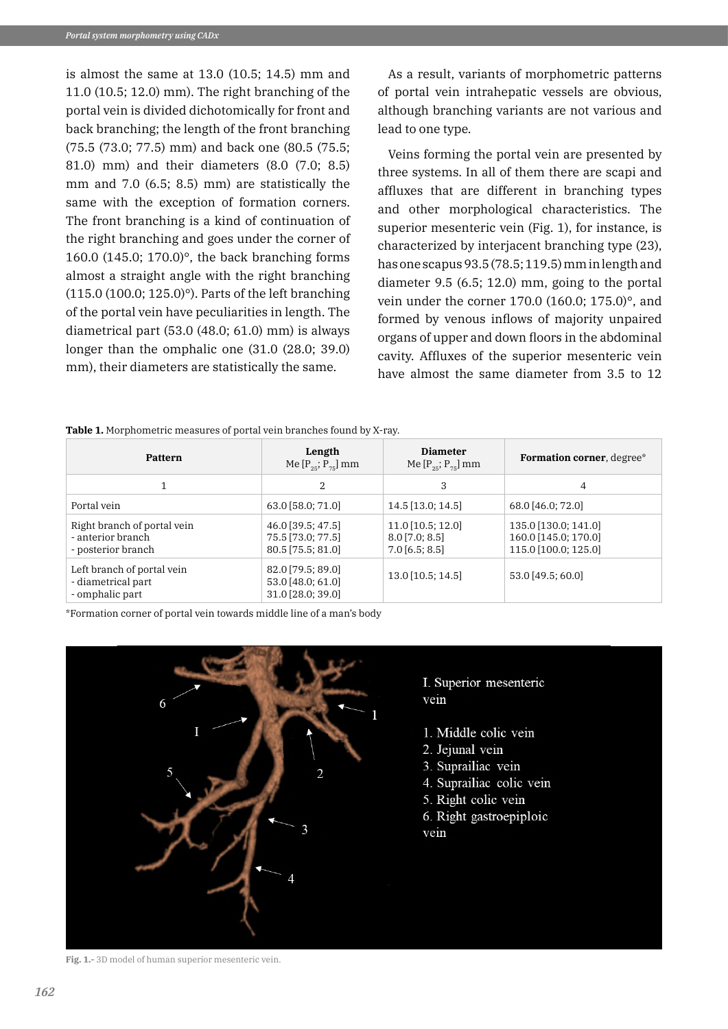is almost the same at 13.0 (10.5; 14.5) mm and 11.0 (10.5; 12.0) mm). The right branching of the portal vein is divided dichotomically for front and back branching; the length of the front branching (75.5 (73.0; 77.5) mm) and back one (80.5 (75.5; 81.0) mm) and their diameters (8.0 (7.0; 8.5) mm and 7.0 (6.5; 8.5) mm) are statistically the same with the exception of formation corners. The front branching is a kind of continuation of the right branching and goes under the corner of 160.0 (145.0; 170.0)°, the back branching forms almost a straight angle with the right branching (115.0 (100.0; 125.0)°). Parts of the left branching of the portal vein have peculiarities in length. The diametrical part (53.0 (48.0; 61.0) mm) is always longer than the omphalic one (31.0 (28.0; 39.0) mm), their diameters are statistically the same.

As a result, variants of morphometric patterns of portal vein intrahepatic vessels are obvious, although branching variants are not various and lead to one type.

Veins forming the portal vein are presented by three systems. In all of them there are scapi and affluxes that are different in branching types and other morphological characteristics. The superior mesenteric vein (Fig. 1), for instance, is characterized by interjacent branching type (23), has one scapus 93.5 (78.5; 119.5) mm in length and diameter 9.5 (6.5; 12.0) mm, going to the portal vein under the corner 170.0 (160.0; 175.0)°, and formed by venous inflows of majority unpaired organs of upper and down floors in the abdominal cavity. Affluxes of the superior mesenteric vein have almost the same diameter from 3.5 to 12

**Table 1.** Morphometric measures of portal vein branches found by X-ray.

| <b>Pattern</b>                                                         | Length<br>Me $[P_{25}; P_{75}]$ mm                          | <b>Diameter</b><br>Me $[P_{25}; P_{75}]$ mm               | Formation corner, degree*                                            |  |
|------------------------------------------------------------------------|-------------------------------------------------------------|-----------------------------------------------------------|----------------------------------------------------------------------|--|
| 1                                                                      | 2                                                           | 3                                                         | $\overline{4}$                                                       |  |
| Portal vein                                                            | 63.0 [58.0; 71.0]                                           | 14.5 [13.0; 14.5]                                         | 68.0 [46.0; 72.0]                                                    |  |
| Right branch of portal vein<br>- anterior branch<br>- posterior branch | 46.0 [39.5; 47.5]<br>75.5 [73.0; 77.5]<br>80.5 [75.5; 81.0] | 11.0 [10.5; 12.0]<br>$8.0$ [7.0; 8.5]<br>$7.0$ [6.5; 8.5] | 135.0 [130.0; 141.0]<br>160.0 [145.0; 170.0]<br>115.0 [100.0; 125.0] |  |
| Left branch of portal vein<br>- diametrical part<br>- omphalic part    | 82.0 [79.5; 89.0]<br>53.0 [48.0; 61.0]<br>31.0 [28.0; 39.0] | 13.0 [10.5; 14.5]                                         | 53.0 [49.5; 60.0]                                                    |  |

\*Formation corner of portal vein towards middle line of a man's body



I. Superior mesenteric vein

- 1. Middle colic vein
- 2. Jejunal vein
- 3. Suprailiac vein
- 4. Suprailiac colic vein
- 5. Right colic vein
- 6. Right gastroepiploic vein

**Fig. 1.-** 3D model of human superior mesenteric vein.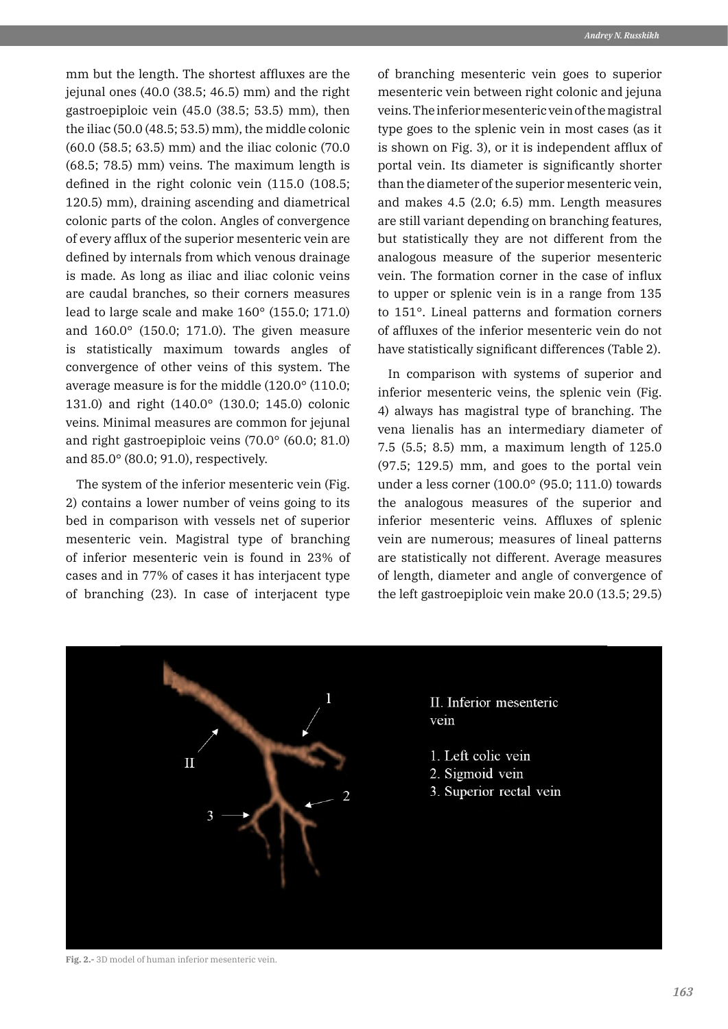mm but the length. The shortest affluxes are the jejunal ones (40.0 (38.5; 46.5) mm) and the right gastroepiploic vein (45.0 (38.5; 53.5) mm), then the iliac (50.0 (48.5; 53.5) mm), the middle colonic (60.0 (58.5; 63.5) mm) and the iliac colonic (70.0 (68.5; 78.5) mm) veins. The maximum length is defined in the right colonic vein (115.0 (108.5; 120.5) mm), draining ascending and diametrical colonic parts of the colon. Angles of convergence of every afflux of the superior mesenteric vein are defined by internals from which venous drainage is made. As long as iliac and iliac colonic veins are caudal branches, so their corners measures lead to large scale and make 160° (155.0; 171.0) and 160.0° (150.0; 171.0). The given measure is statistically maximum towards angles of convergence of other veins of this system. The average measure is for the middle (120.0° (110.0; 131.0) and right (140.0° (130.0; 145.0) colonic veins. Minimal measures are common for jejunal and right gastroepiploic veins (70.0° (60.0; 81.0) and 85.0° (80.0; 91.0), respectively.

The system of the inferior mesenteric vein (Fig. 2) contains a lower number of veins going to its bed in comparison with vessels net of superior mesenteric vein. Magistral type of branching of inferior mesenteric vein is found in 23% of cases and in 77% of cases it has interjacent type of branching (23). In case of interjacent type

of branching mesenteric vein goes to superior mesenteric vein between right colonic and jejuna veins. The inferior mesenteric vein of the magistral type goes to the splenic vein in most cases (as it is shown on Fig. 3), or it is independent afflux of portal vein. Its diameter is significantly shorter than the diameter of the superior mesenteric vein, and makes 4.5 (2.0; 6.5) mm. Length measures are still variant depending on branching features, but statistically they are not different from the analogous measure of the superior mesenteric vein. The formation corner in the case of influx to upper or splenic vein is in a range from 135 to 151°. Lineal patterns and formation corners of affluxes of the inferior mesenteric vein do not have statistically significant differences (Table 2).

In comparison with systems of superior and inferior mesenteric veins, the splenic vein (Fig. 4) always has magistral type of branching. The vena lienalis has an intermediary diameter of 7.5 (5.5; 8.5) mm, a maximum length of 125.0 (97.5; 129.5) mm, and goes to the portal vein under a less corner (100.0° (95.0; 111.0) towards the analogous measures of the superior and inferior mesenteric veins. Affluxes of splenic vein are numerous; measures of lineal patterns are statistically not different. Average measures of length, diameter and angle of convergence of the left gastroepiploic vein make 20.0 (13.5; 29.5)



**Fig. 2.-** 3D model of human inferior mesenteric vein.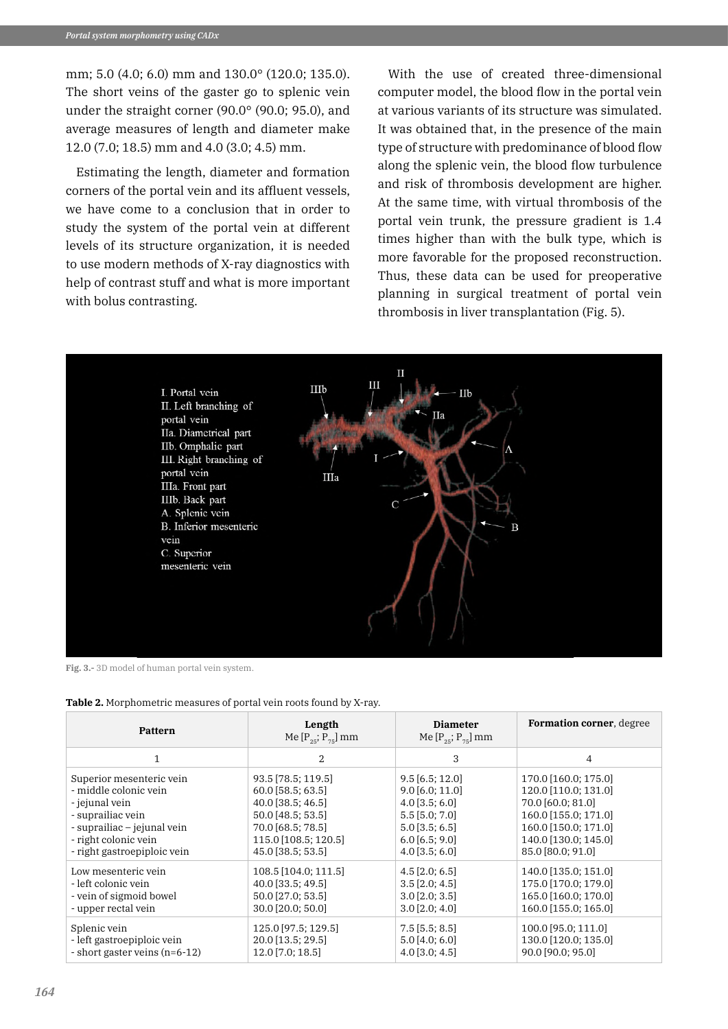mm; 5.0 (4.0; 6.0) mm and 130.0° (120.0; 135.0). The short veins of the gaster go to splenic vein under the straight corner (90.0° (90.0; 95.0), and average measures of length and diameter make 12.0 (7.0; 18.5) mm and 4.0 (3.0; 4.5) mm.

Estimating the length, diameter and formation corners of the portal vein and its affluent vessels, we have come to a conclusion that in order to study the system of the portal vein at different levels of its structure organization, it is needed to use modern methods of X-ray diagnostics with help of contrast stuff and what is more important with bolus contrasting.

With the use of created three-dimensional computer model, the blood flow in the portal vein at various variants of its structure was simulated. It was obtained that, in the presence of the main type of structure with predominance of blood flow along the splenic vein, the blood flow turbulence and risk of thrombosis development are higher. At the same time, with virtual thrombosis of the portal vein trunk, the pressure gradient is 1.4 times higher than with the bulk type, which is more favorable for the proposed reconstruction. Thus, these data can be used for preoperative planning in surgical treatment of portal vein thrombosis in liver transplantation (Fig. 5).



**Fig. 3.-** 3D model of human portal vein system.

| <b>Pattern</b>                | Length<br>Me $[P_{25}; P_{75}]$ mm | <b>Diameter</b><br>Me $[P_{25}; P_{75}]$ mm | <b>Formation corner</b> , degree |
|-------------------------------|------------------------------------|---------------------------------------------|----------------------------------|
| 1                             | 2                                  | 3                                           | 4                                |
| Superior mesenteric vein      | 93.5 [78.5; 119.5]                 | $9.5$ [6.5; 12.0]                           | 170.0 [160.0; 175.0]             |
| - middle colonic vein         | 60.0 [58.5; 63.5]                  | $9.0$ [6.0; 11.0]                           | 120.0 [110.0; 131.0]             |
| - jejunal vein                | $40.0$ [38.5; 46.5]                | $4.0$ [3.5; 6.0]                            | 70.0 [60.0; 81.0]                |
| - suprailiac vein             | 50.0 [48.5; 53.5]                  | $5.5$ [5.0; $7.0$ ]                         | 160.0 [155.0; 171.0]             |
| - suprailiac – jejunal vein   | 70.0 [68.5; 78.5]                  | $5.0$ [3.5; 6.5]                            | 160.0 [150.0; 171.0]             |
| - right colonic vein          | 115.0 [108.5; 120.5]               | $6.0$ [6.5; 9.0]                            | 140.0 [130.0; 145.0]             |
| - right gastroepiploic vein   | 45.0 [38.5; 53.5]                  | $4.0$ [3.5; 6.0]                            | 85.0 [80.0; 91.0]                |
| Low mesenteric vein           | 108.5 [104.0; 111.5]               | $4.5$ [2.0; 6.5]                            | 140.0 [135.0; 151.0]             |
| - left colonic vein           | 40.0 [33.5; 49.5]                  | $3.5$ [2.0; 4.5]                            | 175.0 [170.0; 179.0]             |
| - vein of sigmoid bowel       | 50.0 [27.0; 53.5]                  | $3.0$ [2.0; 3.5]                            | 165.0 [160.0; 170.0]             |
| - upper rectal vein           | $30.0$ [20.0; 50.0]                | $3.0$ [2.0; 4.0]                            | 160.0 [155.0; 165.0]             |
| Splenic vein                  | 125.0 [97.5; 129.5]                | $7.5$ [5.5; 8.5]                            | 100.0 [95.0; 111.0]              |
| - left gastroepiploic vein    | 20.0 [13.5; 29.5]                  | $5.0$ [4.0; 6.0]                            | 130.0 [120.0; 135.0]             |
| - short gaster veins (n=6-12) | 12.0 [7.0; 18.5]                   | $4.0$ [3.0; $4.5$ ]                         | 90.0 [90.0; 95.0]                |

**Table 2.** Morphometric measures of portal vein roots found by X-ray.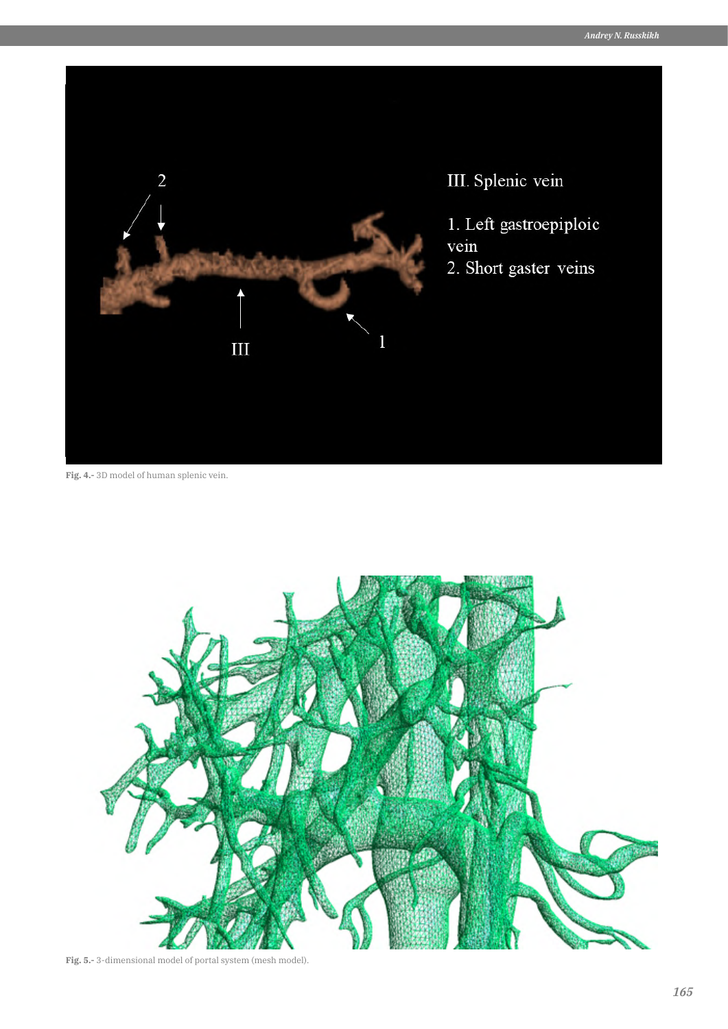

**Fig. 4.-** 3D model of human splenic vein.



**Fig. 5.-** 3-dimensional model of portal system (mesh model).